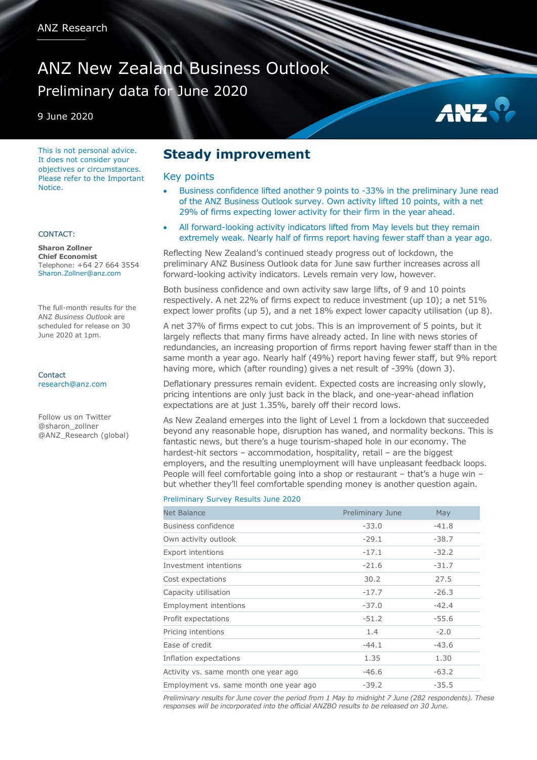# ANZ New Zealand Business Outlook Preliminary data for June 2020

9 June 2020

This is not personal advice. It does not consider your objectives or circumstances. Please refer to the Important **Notice** 

### CONTACT:

**Sharon Zollner Chief Economist** Telephone: +64 27 664 3554 Sharon.Zollner@anz.com

The full-month results for the ANZ *Business Outlook* are scheduled for release on 30 June 2020 at 1pm.

Contact [research@anz.com](mailto:research@anz.com)

Follow us on Twitter @sharon\_zollner @ANZ\_Research (global)

## **Steady improvement**

### Key points

 Business confidence lifted another 9 points to -33% in the preliminary June read of the ANZ Business Outlook survey. Own activity lifted 10 points, with a net 29% of firms expecting lower activity for their firm in the year ahead.

AN:

 All forward-looking activity indicators lifted from May levels but they remain extremely weak. Nearly half of firms report having fewer staff than a year ago.

Reflecting New Zealand's continued steady progress out of lockdown, the preliminary ANZ Business Outlook data for June saw further increases across all forward-looking activity indicators. Levels remain very low, however.

Both business confidence and own activity saw large lifts, of 9 and 10 points respectively. A net 22% of firms expect to reduce investment (up 10); a net 51% expect lower profits (up 5), and a net 18% expect lower capacity utilisation (up 8).

A net 37% of firms expect to cut jobs. This is an improvement of 5 points, but it largely reflects that many firms have already acted. In line with news stories of redundancies, an increasing proportion of firms report having fewer staff than in the same month a year ago. Nearly half (49%) report having fewer staff, but 9% report having more, which (after rounding) gives a net result of -39% (down 3).

Deflationary pressures remain evident. Expected costs are increasing only slowly, pricing intentions are only just back in the black, and one-year-ahead inflation expectations are at just 1.35%, barely off their record lows.

As New Zealand emerges into the light of Level 1 from a lockdown that succeeded beyond any reasonable hope, disruption has waned, and normality beckons. This is fantastic news, but there's a huge tourism-shaped hole in our economy. The hardest-hit sectors - accommodation, hospitality, retail - are the biggest employers, and the resulting unemployment will have unpleasant feedback loops. People will feel comfortable going into a shop or restaurant – that's a huge win – but whether they'll feel comfortable spending money is another question again.

#### Preliminary Survey Results June 2020

| <b>Net Balance</b>                     | Preliminary June | May     |
|----------------------------------------|------------------|---------|
| Business confidence                    | $-33.0$          | $-41.8$ |
| Own activity outlook                   | $-29.1$          | $-38.7$ |
| <b>Export intentions</b>               | $-17.1$          | $-32.2$ |
| Investment intentions                  | $-21.6$          | $-31.7$ |
| Cost expectations                      | 30.2             | 27.5    |
| Capacity utilisation                   | $-17.7$          | $-26.3$ |
| <b>Employment intentions</b>           | $-37.0$          | $-42.4$ |
| Profit expectations                    | $-51.2$          | $-55.6$ |
| Pricing intentions                     | 1.4              | $-2.0$  |
| Ease of credit                         | $-44.1$          | $-43.6$ |
| Inflation expectations                 | 1.35             | 1.30    |
| Activity vs. same month one year ago   | $-46.6$          | $-63.2$ |
| Employment vs. same month one year ago | $-39.2$          | $-35.5$ |

*Preliminary results for June cover the period from 1 May to midnight 7 June (282 respondents). These responses will be incorporated into the official ANZBO results to be released on 30 June.*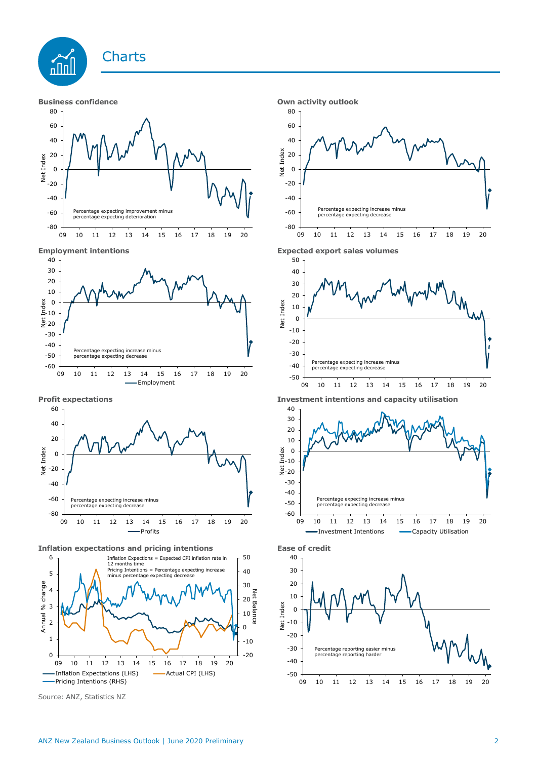



**Inflation expectations and pricing intentions Ease of credit**



Source: ANZ, Statistics NZ









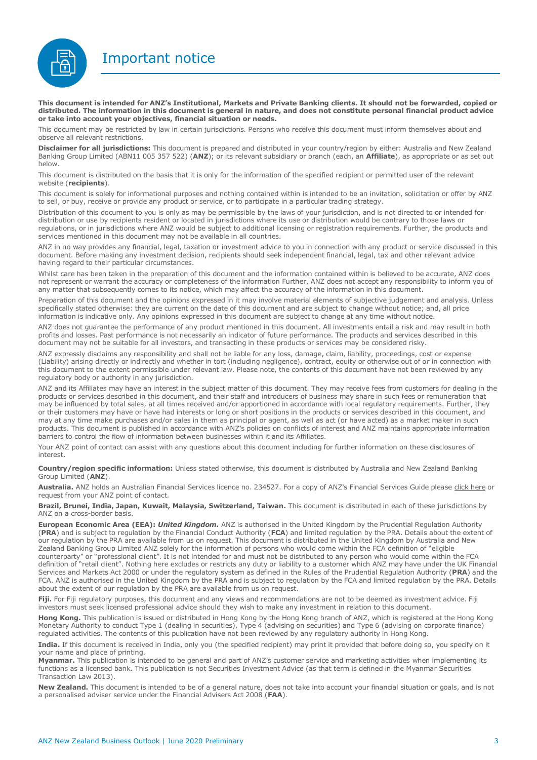Important notice



**This document is intended for ANZ's Institutional, Markets and Private Banking clients. It should not be forwarded, copied or distributed. The information in this document is general in nature, and does not constitute personal financial product advice or take into account your objectives, financial situation or needs.** 

This document may be restricted by law in certain jurisdictions. Persons who receive this document must inform themselves about and observe all relevant restrictions.

**Disclaimer for all jurisdictions:** This document is prepared and distributed in your country/region by either: Australia and New Zealand Banking Group Limited (ABN11 005 357 522) (**ANZ**); or its relevant subsidiary or branch (each, an **Affiliate**), as appropriate or as set out below.

This document is distributed on the basis that it is only for the information of the specified recipient or permitted user of the relevant website (**recipients**).

This document is solely for informational purposes and nothing contained within is intended to be an invitation, solicitation or offer by ANZ to sell, or buy, receive or provide any product or service, or to participate in a particular trading strategy.

Distribution of this document to you is only as may be permissible by the laws of your jurisdiction, and is not directed to or intended for distribution or use by recipients resident or located in jurisdictions where its use or distribution would be contrary to those laws or regulations, or in jurisdictions where ANZ would be subject to additional licensing or registration requirements. Further, the products and services mentioned in this document may not be available in all countries.

ANZ in no way provides any financial, legal, taxation or investment advice to you in connection with any product or service discussed in this document. Before making any investment decision, recipients should seek independent financial, legal, tax and other relevant advice having regard to their particular circumstances.

Whilst care has been taken in the preparation of this document and the information contained within is believed to be accurate, ANZ does not represent or warrant the accuracy or completeness of the information Further, ANZ does not accept any responsibility to inform you of any matter that subsequently comes to its notice, which may affect the accuracy of the information in this document.

Preparation of this document and the opinions expressed in it may involve material elements of subjective judgement and analysis. Unless specifically stated otherwise: they are current on the date of this document and are subject to change without notice; and, all price information is indicative only. Any opinions expressed in this document are subject to change at any time without notice.

ANZ does not guarantee the performance of any product mentioned in this document. All investments entail a risk and may result in both profits and losses. Past performance is not necessarily an indicator of future performance. The products and services described in this document may not be suitable for all investors, and transacting in these products or services may be considered risky.

ANZ expressly disclaims any responsibility and shall not be liable for any loss, damage, claim, liability, proceedings, cost or expense (Liability) arising directly or indirectly and whether in tort (including negligence), contract, equity or otherwise out of or in connection with this document to the extent permissible under relevant law. Please note, the contents of this document have not been reviewed by any regulatory body or authority in any jurisdiction.

ANZ and its Affiliates may have an interest in the subject matter of this document. They may receive fees from customers for dealing in the products or services described in this document, and their staff and introducers of business may share in such fees or remuneration that may be influenced by total sales, at all times received and/or apportioned in accordance with local regulatory requirements. Further, they or their customers may have or have had interests or long or short positions in the products or services described in this document, and may at any time make purchases and/or sales in them as principal or agent, as well as act (or have acted) as a market maker in such products. This document is published in accordance with ANZ's policies on conflicts of interest and ANZ maintains appropriate information barriers to control the flow of information between businesses within it and its Affiliates.

Your ANZ point of contact can assist with any questions about this document including for further information on these disclosures of interest.

**Country/region specific information:** Unless stated otherwise, this document is distributed by Australia and New Zealand Banking Group Limited (**ANZ**).

Australia. ANZ holds an Australian Financial Services licence no. 234527. For a copy of ANZ's Financial Services Guide please [click here](http://www.anz.com/documents/AU/aboutANZ/FinancialServicesGuide.pdf) or request from your ANZ point of contact.

**Brazil, Brunei, India, Japan, Kuwait, Malaysia, Switzerland, Taiwan.** This document is distributed in each of these jurisdictions by ANZ on a cross-border basis.

**European Economic Area (EEA):** *United Kingdom.* ANZ is authorised in the United Kingdom by the Prudential Regulation Authority (**PRA**) and is subject to regulation by the Financial Conduct Authority (**FCA**) and limited regulation by the PRA. Details about the extent of our regulation by the PRA are available from us on request. This document is distributed in the United Kingdom by Australia and New Zealand Banking Group Limited ANZ solely for the information of persons who would come within the FCA definition of "eligible counterparty" or "professional client". It is not intended for and must not be distributed to any person who would come within the FCA definition of "retail client". Nothing here excludes or restricts any duty or liability to a customer which ANZ may have under the UK Financial Services and Markets Act 2000 or under the regulatory system as defined in the Rules of the Prudential Regulation Authority (**PRA**) and the FCA. ANZ is authorised in the United Kingdom by the PRA and is subject to regulation by the FCA and limited regulation by the PRA. Details about the extent of our regulation by the PRA are available from us on request.

Fiji. For Fiji regulatory purposes, this document and any views and recommendations are not to be deemed as investment advice. Fiji investors must seek licensed professional advice should they wish to make any investment in relation to this document.

**Hong Kong.** This publication is issued or distributed in Hong Kong by the Hong Kong branch of ANZ, which is registered at the Hong Kong Monetary Authority to conduct Type 1 (dealing in securities), Type 4 (advising on securities) and Type 6 (advising on corporate finance) regulated activities. The contents of this publication have not been reviewed by any regulatory authority in Hong Kong.

**India.** If this document is received in India, only you (the specified recipient) may print it provided that before doing so, you specify on it your name and place of printing.

**Myanmar.** This publication is intended to be general and part of ANZ's customer service and marketing activities when implementing its functions as a licensed bank. This publication is not Securities Investment Advice (as that term is defined in the Myanmar Securities Transaction Law 2013).

**New Zealand.** This document is intended to be of a general nature, does not take into account your financial situation or goals, and is not a personalised adviser service under the Financial Advisers Act 2008 (**FAA**).